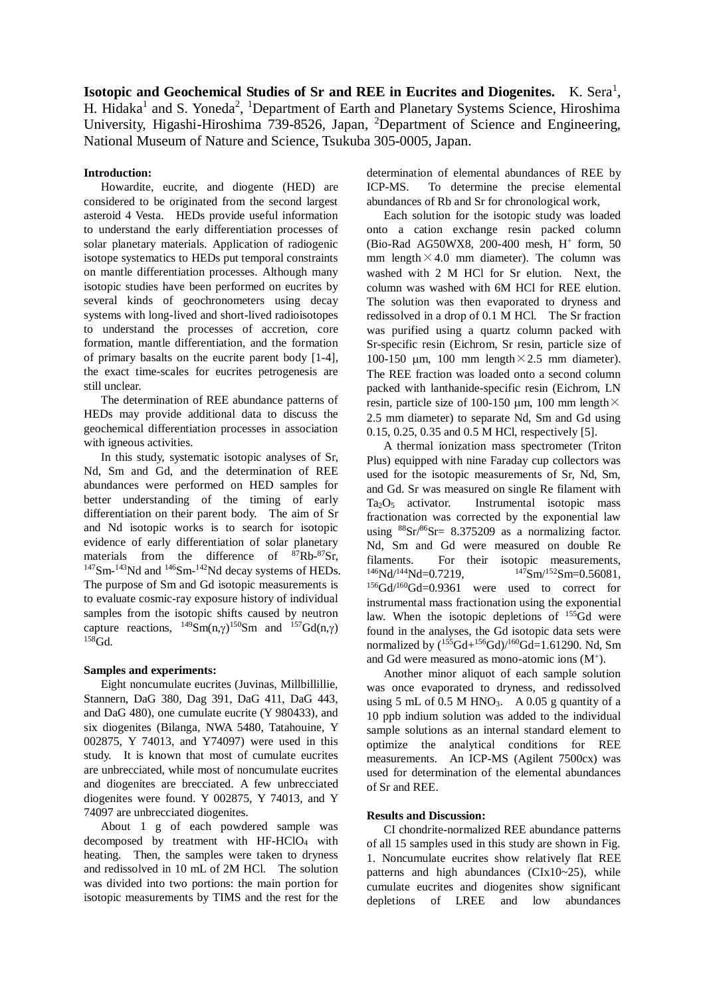**Isotopic and Geochemical Studies of Sr and REE in Eucrites and Diogenites.** K. Sera<sup>1</sup>, H. Hidaka<sup>1</sup> and S. Yoneda<sup>2</sup>, <sup>1</sup>Department of Earth and Planetary Systems Science, Hiroshima University, Higashi-Hiroshima 739-8526, Japan, <sup>2</sup>Department of Science and Engineering, National Museum of Nature and Science, Tsukuba 305-0005, Japan.

## **Introduction:**

Howardite, eucrite, and diogente (HED) are considered to be originated from the second largest asteroid 4 Vesta. HEDs provide useful information to understand the early differentiation processes of solar planetary materials. Application of radiogenic isotope systematics to HEDs put temporal constraints on mantle differentiation processes. Although many isotopic studies have been performed on eucrites by several kinds of geochronometers using decay systems with long-lived and short-lived radioisotopes to understand the processes of accretion, core formation, mantle differentiation, and the formation of primary basalts on the eucrite parent body [1-4], the exact time-scales for eucrites petrogenesis are still unclear.

The determination of REE abundance patterns of HEDs may provide additional data to discuss the geochemical differentiation processes in association with igneous activities.

In this study, systematic isotopic analyses of Sr, Nd, Sm and Gd, and the determination of REE abundances were performed on HED samples for better understanding of the timing of early differentiation on their parent body. The aim of Sr and Nd isotopic works is to search for isotopic evidence of early differentiation of solar planetary materials from the difference of  $87Rb-87Sr$ ,  $147$ Sm- $143$ Nd and  $146$ Sm- $142$ Nd decay systems of HEDs. The purpose of Sm and Gd isotopic measurements is to evaluate cosmic-ray exposure history of individual samples from the isotopic shifts caused by neutron capture reactions,  $^{149}Sm(n,\gamma)^{150}Sm$  and  $^{157}Gd(n,\gamma)$  $158$ Gd.

## **Samples and experiments:**

Eight noncumulate eucrites (Juvinas, Millbillillie, Stannern, DaG 380, Dag 391, DaG 411, DaG 443, and DaG 480), one cumulate eucrite (Y 980433), and six diogenites (Bilanga, NWA 5480, Tatahouine, Y 002875, Y 74013, and Y74097) were used in this study. It is known that most of cumulate eucrites are unbrecciated, while most of noncumulate eucrites and diogenites are brecciated. A few unbrecciated diogenites were found. Y 002875, Y 74013, and Y 74097 are unbrecciated diogenites.

About 1 g of each powdered sample was decomposed by treatment with HF-HClO<sub>4</sub> with heating. Then, the samples were taken to dryness and redissolved in 10 mL of 2M HCl. The solution was divided into two portions: the main portion for isotopic measurements by TIMS and the rest for the

determination of elemental abundances of REE by ICP-MS. To determine the precise elemental abundances of Rb and Sr for chronological work,

Each solution for the isotopic study was loaded onto a cation exchange resin packed column (Bio-Rad AG50WX8, 200-400 mesh, H<sup>+</sup> form, 50 mm length  $\times$  4.0 mm diameter). The column was washed with 2 M HCl for Sr elution. Next, the column was washed with 6M HCl for REE elution. The solution was then evaporated to dryness and redissolved in a drop of 0.1 M HCl. The Sr fraction was purified using a quartz column packed with Sr-specific resin (Eichrom, Sr resin, particle size of 100-150  $\mu$ m, 100 mm length $\times$ 2.5 mm diameter). The REE fraction was loaded onto a second column packed with lanthanide-specific resin (Eichrom, LN resin, particle size of 100-150  $\mu$ m, 100 mm length $\times$ 2.5 mm diameter) to separate Nd, Sm and Gd using 0.15, 0.25, 0.35 and 0.5 M HCl, respectively [5].

A thermal ionization mass spectrometer (Triton Plus) equipped with nine Faraday cup collectors was used for the isotopic measurements of Sr, Nd, Sm, and Gd. Sr was measured on single Re filament with Ta2O<sup>5</sup> activator. Instrumental isotopic mass fractionation was corrected by the exponential law using  $88sr/86Sr= 8.375209$  as a normalizing factor. Nd, Sm and Gd were measured on double Re filaments. For their isotopic measurements,  $^{146}Nd^{144}Nd=0.7219,$   $^{147}Sm^{152}Sm=0.56081,$  $156$ Gd/ $160$ Gd=0.9361 were used to correct for instrumental mass fractionation using the exponential law. When the isotopic depletions of <sup>155</sup>Gd were found in the analyses, the Gd isotopic data sets were normalized by  $(^{155}Gd+^{156}Gd)/^{160}Gd=1.61290$ . Nd, Sm and Gd were measured as mono-atomic ions  $(M^+)$ .

Another minor aliquot of each sample solution was once evaporated to dryness, and redissolved using 5 mL of 0.5 M HNO<sub>3</sub>. A 0.05 g quantity of a 10 ppb indium solution was added to the individual sample solutions as an internal standard element to optimize the analytical conditions for REE measurements. An ICP-MS (Agilent 7500cx) was used for determination of the elemental abundances of Sr and REE.

## **Results and Discussion:**

CI chondrite-normalized REE abundance patterns of all 15 samples used in this study are shown in Fig. 1. Noncumulate eucrites show relatively flat REE patterns and high abundances (CIx10~25), while cumulate eucrites and diogenites show significant depletions of LREE and low abundances